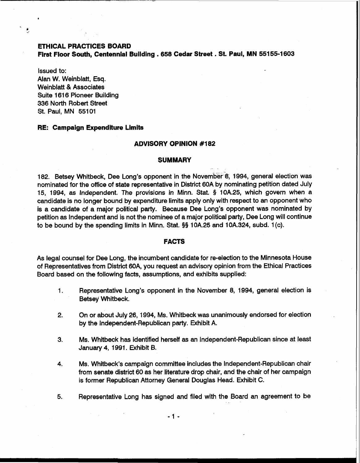# **ETHICAL PRACTICES BOARD First Floor South, Centennial Building** . **<sup>658</sup>Cedar Street** . **St. Paul, MN 55155-1603**

Issued to: Alan W. Weinblatt, Esq. Weinblatt & Associates Suite 1616 Pioneer Building 336 North Robert Street St. Paul, MN 55101

#### **RE: Campaign Expenditure Limits**

#### **ADVISORY OPINION #I 82**

#### **SUMMARY**

182. Betsey Whitbeck, Dee Long's opponent in the November 8, 1994, general election was nominated for the office of state representative in District 60A by nominating petition dated July 15, 1994, as lndependent. The provisions in Minn. Stat. § 10A.25, which govern when a candidate is no longer bound by expenditure limits apply only with respect to an opponent who is a candidate of a major political party. Because Dee Long's opponent was nominated by petition as lndependent and is not the nominee of a major political party, Dee Long will continue to be bound by the spending limits in Minn. Stat. §§ 10A.25 and 10A.324, subd. 1 (c).

### **FACTS**

As legal counsel for Dee Long, the incumbent candidate for re-election to the Minnesota House of Representatives from District 60A, you request an advisory opinion from the Ethical Practices Board based on the following facts, assumptions, and exhibits supplied:

- 1. Representative Long's opponent in the November 8, 1994, general election is Betsey Whitbeck.
- 2. On or about July 26, 1994, Ms. Whitbeck was unanimously endorsed for election by the Independent-Republican party. Exhibit A.
- 3. Ms. Whitbeck has identified herself as an Independent-Republican since at least January 4, 1991. Exhibit B.
- 4. Ms. Whitbeck's campaign committee includes the Independent-Republican chair from senate district 60 as her literature drop chair, and the chair of her campaign is former Republican Attorney General Douglas Head. Exhibit C.
- **5.** Representative Long has signed and filed with the Board an agreement to be . .

 $-1-$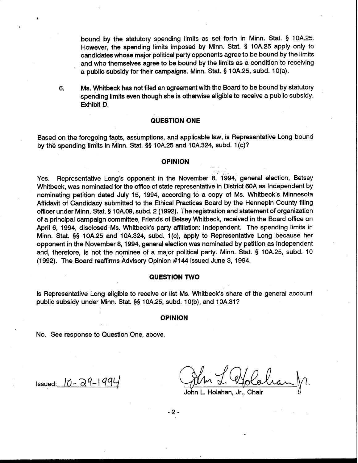bound by the statutory spending limits as set forth in Minn. Stat. **9** 10A.25. However, the spending limits imposed by Minn. Stat. § 10A.25 apply only to candidates whose major political party opponents agree to be bound by the limits and who themselves agree to be bound by the limits as a condition to receiving a public subsidy for their campaigns. Minn. Stat. § 10A.25, subd. 1 O(a).

6. Ms. Whitbeck has not filed an agreement with the Board to be bound by statutory spending limits even though she is otherwise eligible to receive a public subsidy. Exhibit D.

# **QUESTION ONE**

Based on the foregoing facts, assumptions, and applicable law, is Representative Long bound by the spending limits in Minn. Stat. §§ 10A.25 and 10A.324, subd. 1 (c)?

## **OPINION**

Yes. Representative Long's opponent in the November 8, 1994, general election, Betsey Whitbeck, was nominated for the office of state representative in District 60A as lndependent by nominating petition dated July 15, 1994, according to a copy of Ms. Whitbeck's Minnesota Affidavit of Candidacy submitted to the Ethical Practices Board by the Hennepin County filing officer under Minn. Stat. § 10A.09, subd. 2 (1992). The registration and statement of organization of a principal campaign committee, Friends of Betsey Whitbeck, received in the Board office on April 6, 1994, disclosed -Ms. Whitbeck's party affiliation: Independent. The spending limits in Minn. Stat. **\$9** 10A.25 and 10A.324, subd. 1 (c), apply to Representative Long because her opponent in the November 8, 1994, general election was nominated by petition as lndependent and, therefore, is not the nominee of a major political party. Minn. Stat. **9** 10A.25, subd. 10 (1992). The Board reaffirms Advisory Opinion #144 issued June 3, 1994.

### **QUESTION TWO**

Is Representative Long eligible to receive or list Ms. Whitbeck's share of the general account public subsidy under Minn. Stat. §§ 10A.25, subd. 10(b), and 10A.31?

#### **OPINION**

No. See response to Question One, above.

Issued:  $0 - 29 - 99$ 

John L. Holahan, Jr., Chair

-

 $-2-$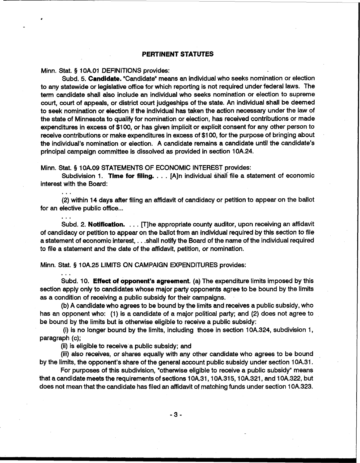# **PERTINENT STATUTES**

Minn. Stat. **5** 1 OA.O1 DEFINITIONS provides:

Subd. 5. **Candidate.** "Candidate"means an individual who seeks nomination or election to any statewide or legislative office for which reporting is not required under federal laws. The term candidate shall also include an individual who seeks nomination or election to supreme court, court of appeals, or district court judgeships of the state. An individual shall be deemed to seek nomination or election if the individual has taken the action necessary under the law of the state of Minnesota to qualify for nomination or election, has received contributions or made expenditures in excess of \$1 00, or has given implicit or explicit consent for any other person to receive contributions or make expenditures in excess of \$1 00, for the purpose of bringing about the individual's nomination or election. A candidate remains a candidate until the candidate's principal campaign committee is dissolved as provided in section 10A.24.

Minn. Stat. § 10A.09 STATEMENTS OF ECONOMIC INTEREST provides:

Subdivision 1. **Time for filing.** . . . [A]n individual shall file a statement of economic interest with the Board:

. . . (2) within 14 days after filing an affidavit of candidacy or petition to appear on the ballot for an elective public office...

Subd. 2. **Notification.** . . . [Tlhe appropriate county auditor, upon receiving an affidavit of candidacy or petition to appear on the ballot from an individual required by this section to file a statement of economic interest, . . .shall notify the Board of the name of the individual required to file a statement and the date of the affidavit, petition, or nomination.

Minn. Stat. **5** 10A.25 LIMITS ON CAMPAIGN EXPENDITURES provides: ...

Subd. 10. Effect **of opponent's agreement.** (a) The expenditure limits imposed by this section apply only to candidates whose major party opponents agree to be bound by the limits as a condition of receiving a public subsidy for their campaigns.

(b) A candidate who agrees to be bound by the limits and receives a public subsidy, who has an opponent who: (1) is a candidate of a major political party; and (2) does not agree to be bound by the limits but is otherwise eligible to receive a public subsidy:

(i) is no longer bound by the limits, including those in section 10A.324, subdivision 1, paragraph (c);

(ii) is eligible to receive a public subsidy; and

(iii) also receives, or shares equally with any other candidate who agrees to be bound by the limits, the opponent's share of the general account public subsidy under section 1 OA.31.

For purposes of this subdivision, "otherwise eligible to receive a public subsidy" means that a candidate meets the requirements of sections 10A.31, 10A.315, 10A.321, and 10A.322, but does not mean that the candidate has filed an affidavit of matching funds under section 10A.323.